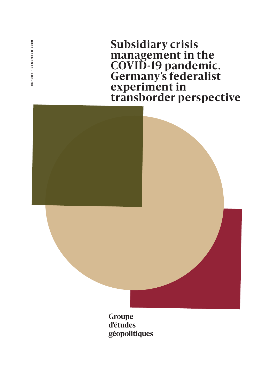REPORT - DECEMBER 2020 REPORT · DECEMBER 2020

**Subsidiary crisis management in the COVID-19 pandemic. Germany's federalist experiment in transborder perspective**



**d'études géopolitiques**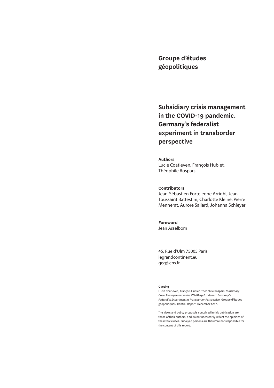**Groupe d'études géopolitiques** 

**Subsidiary crisis management in the COVID-19 pandemic. Germany's federalist experiment in transborder perspective** 

**Authors**  Lucie Coatleven, François Hublet, Théophile Rospars

#### **Contributors**

Jean-Sébastien Forteleone Arrighi, Jean-Toussaint Battestini, Charlotte Kleine, Pierre Mennerat, Aurore Sallard, Johanna Schleyer

**Foreword**  Jean Asselborn

45, Rue d'Ulm 75005 Paris legrandcontinent.eu geg@ens.fr

#### **Quoting**

Lucie Coatleven, François Hublet, Théophile Rospars, *Subsidiary Crisis Management in the COVID-19 Pandemic: Germany's Federalist Experiment in Transborder Perspective,* Groupe d'études géopolitiques, Centre, Report, December 2020.

The views and policy proposals contained in this publication are those of their authors, and do not necessarily reflect the opinions of the interviewees. Surveyed persons are therefore not responsible for the content of this report.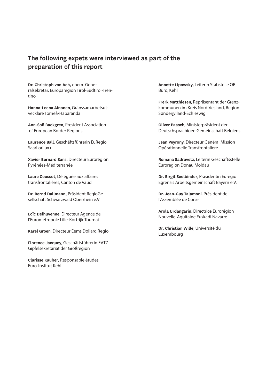## **The following expets were interviewed as part of the preparation of this report**

**Dr. Christoph von Ach,** ehem. Generalsekretär, Europaregion Tirol-Südtirol-Trentino

**Hanna-Leena Ainonen**, Gränssamarbetsutvecklare Torneå/Haparanda

**Ann-Sofi Backgren**, President Association of European Border Regions

**Laurence Ball**, Geschäftsführerin EuRegio SaarLorLux+

**Xavier Bernard Sans**, Directeur Eurorégion Pyrénées-Méditerranée

**Laure Coussot**, Déléguée aux affaires transfrontalières, Canton de Vaud

**Dr. Bernd Dallmann,** Präsident RegioGesellschaft Schwarzwald Oberrhein e.V

**Loïc Delhuvenne**, Directeur Agence de l'Eurométropole Lille-Kortrijk-Tournai

**Karel Groen**, Directeur Eems Dollard Regio

**Florence Jacquey**, Geschäftsführerin EVTZ Gipfelsekretariat der Großregion

**Clarisse Kauber**, Responsable études, Euro-Institut Kehl

**Annette Lipowsky**, Leiterin Stabstelle OB Büro, Kehl

**Frerk Matthiesen**, Repräsentant der Grenzkommunen im Kreis Nordfriesland, Region Sønderjylland-Schleswig

**Oliver Paasch**, Ministerpräsident der Deutschsprachigen Gemeinschaft Belgiens

**Jean Peyrony**, Directeur Général Mission Opérationnelle Transfrontalière

**Romana Sadravetz**, Leiterin Geschäftsstelle Euroregion Donau Moldau

**Dr. Birgit Seelbinder**, Präsidentin Euregio Egrensis Arbeitsgemeinschaft Bayern e.V.

**Dr. Jean-Guy Talamoni**, Président de l'Assemblée de Corse

**Arola Urdangarin**, Directrice Eurorégion Nouvelle-Aquitaine Euskadi Navarre

**Dr. Christian Wille**, Université du Luxembourg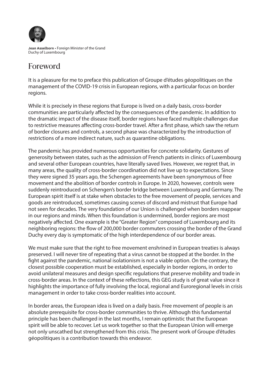

**Jean Asselborn •** Foreign Minister of the Grand Duchy of Luxembourg

# Foreword

It is a pleasure for me to preface this publication of Groupe d'études géopolitiques on the management of the COVID-19 crisis in European regions, with a particular focus on border regions.

While it is precisely in these regions that Europe is lived on a daily basis, cross-border communities are particularly affected by the consequences of the pandemic. In addition to the dramatic impact of the disease itself, border regions have faced multiple challenges due to restrictive measures affecting cross-border travel. After a first phase, which saw the return of border closures and controls, a second phase was characterized by the introduction of restrictions of a more indirect nature, such as quarantine obligations.

The pandemic has provided numerous opportunities for concrete solidarity. Gestures of generosity between states, such as the admission of French patients in clinics of Luxembourg and several other European countries, have literally saved lives. However, we regret that, in many areas, the quality of cross-border coordination did not live up to expectations. Since they were signed 35 years ago, the Schengen agreements have been synonymous of free movement and the abolition of border controls in Europe. In 2020, however, controls were suddenly reintroduced on Schengen's border bridge between Luxembourg and Germany. The European spirit itself is at stake when obstacles to the free movement of people, services and goods are reintroduced, sometimes causing scenes of discord and mistrust that Europe had not seen for decades. The very foundation of our Union is challenged when borders reappear in our regions and minds. When this foundation is undermined, border regions are most negatively affected. One example is the "Greater Region" composed of Luxembourg and its neighboring regions: the flow of 200,000 border commuters crossing the border of the Grand Duchy every day is symptomatic of the high interdependence of our border areas.

We must make sure that the right to free movement enshrined in European treaties is always preserved. I will never tire of repeating that a virus cannot be stopped at the border. In the fight against the pandemic, national isolationism is not a viable option. On the contrary, the closest possible cooperation must be established, especially in border regions, in order to avoid unilateral measures and design specific regulations that preserve mobility and trade in cross-border areas. In the context of these reflections, this GEG study is of great value since it highlights the importance of fully involving the local, regional and Euroregional levels in crisis management in order to take cross-border realities into account.

In border areas, the European idea is lived on a daily basis. Free movement of people is an absolute prerequisite for cross-border communities to thrive. Although this fundamental principle has been challenged in the last months, I remain optimistic that the European spirit will be able to recover. Let us work together so that the European Union will emerge not only unscathed but strengthened from this crisis. The present work of Groupe d'études géopolitiques is a contribution towards this endeavor.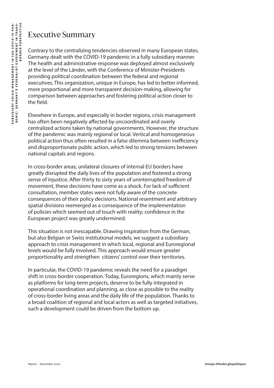## Executive Summary

Contrary to the centralizing tendencies observed in many European states, Germany dealt with the COVID-19 pandemic in a fully subsidiary manner. The health and administrative response was deployed almost exclusively at the level of the Länder, with the Conference of Minister-Presidents providing political coordination between the federal and regional executives. This organization, unique in Europe, has led to better informed, more proportional and more transparent decision-making, allowing for comparison between approaches and fostering political action closer to the field.

Elsewhere in Europe, and especially in border regions, crisis management has often been negatively affected by uncoordinated and overly centralized actions taken by national governments. However, the structure of the pandemic was mainly regional or local. Vertical and homogeneous political action thus often resulted in a false dilemma between inefficiency and disproportionate public action, which led to strong tensions between national capitals and regions.

In cross-border areas, unilateral closures of internal EU borders have greatly disrupted the daily lives of the population and fostered a strong sense of injustice. After thirty to sixty years of uninterrupted freedom of movement, these decisions have come as a shock. For lack of sufficient consultation, member states were not fully aware of the concrete consequences of their policy decisions. National resentment and arbitrary spatial divisions reemerged as a consequence of the implementation of policies which seemed out of touch with reality; confidence in the European project was greatly undermined.

This situation is not inescapable. Drawing inspiration from the German, but also Belgian or Swiss institutional models, we suggest a subsidiary approach to crisis management in which local, regional and Euroregional levels would be fully involved. This approach would ensure greater proportionality and strengthen citizens' control over their territories.

In particular, the COVID-19 pandemic reveals the need for a paradigm shift in cross-border cooperation. Today, Euroregions, which mainly serve as platforms for long-term projects, deserve to be fully integrated in operational coordination and planning, as close as possible to the reality of cross-border living areas and the daily life of the population. Thanks to a broad coalition of regional and local actors as well as targeted initiatives, such a development could be driven from the bottom up.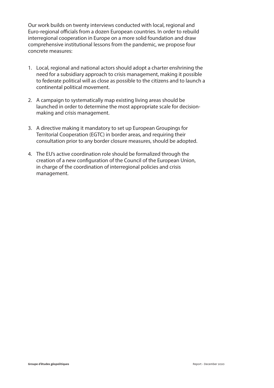Our work builds on twenty interviews conducted with local, regional and Euro-regional officials from a dozen European countries. In order to rebuild interregional cooperation in Europe on a more solid foundation and draw comprehensive institutional lessons from the pandemic, we propose four concrete measures:

- 1. Local, regional and national actors should adopt a charter enshrining the need for a subsidiary approach to crisis management, making it possible to federate political will as close as possible to the citizens and to launch a continental political movement.
- 2. A campaign to systematically map existing living areas should be launched in order to determine the most appropriate scale for decisionmaking and crisis management.
- 3. A directive making it mandatory to set up European Groupings for Territorial Cooperation (EGTC) in border areas, and requiring their consultation prior to any border closure measures, should be adopted.
- 4. The EU's active coordination role should be formalized through the creation of a new configuration of the Council of the European Union, in charge of the coordination of interregional policies and crisis management.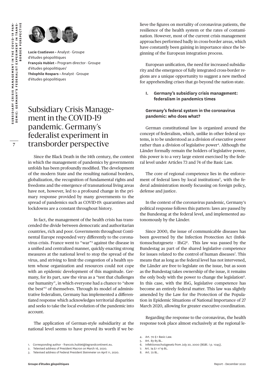**7**



**Lucie Coatleven •** Analyst · Groupe d'études géopolitiques **François Hublet •** Program director · Groupe d'études géopolitiques<sup>1</sup> **Théophile Rospars •** Analyst · Groupe d'études géopolitiques

## Subsidiary Crisis Management in the COVID-19 pandemic. Germany's federalist experiment in transborder perspective

Since the Black Death in the 14th century, the context in which the management of pandemics by governments unfolds has been profoundly modified. The development of the modern State and the resulting national borders, globalization, the recognition of fundamental rights and freedoms and the emergence of transnational living areas have not, however, led to a profound change in the primary response provided by many governments to the spread of pandemics such as COVID-19: quarantines and lockdowns are a constant throughout history.

In fact, the management of the health crisis has transcended the divide between democratic and authoritarian countries, rich and poor. Governments throughout Continental Europe responded very differently to the coronavirus crisis. France went to "war"2 against the disease in a unified and centralized manner, quickly enacting strong measures at the national level to stop the spread of the virus, and striving to limit the congestion of a health system whose organization and resources could not cope with an epidemic development of this magnitude. Germany, for its part, saw the virus as a "test that challenges our humanity", in which everyone had a chance to "show the best"3 of themselves. Through its model of administrative federalism, Germany has implemented a differentiated response which acknowledges territorial disparities and seeks to take the local evolution of the pandemic into account.

The application of German-style subsidiarity at the national level seems to have proved its worth if we believe the figures on mortality of coronavirus patients, the resilience of the health system or the rates of contamination. However, most of the current crisis management approaches performed badly in cross-border areas, which have constantly been gaining in importance since the beginning of the European integration process.

European unification, the need for increased subsidiarity and the emergence of fully integrated cross-border regions are a unique opportunity to suggest a new method for apprehending crises that go beyond the nation-state.

### **I. Germany's subsidiary crisis management: federalism in pandemics times**

## **Germany's federal system in the coronavirus pandemic: who does what?**

German constitutional law is organized around the concept of federalism, which, unlike in other federal systems, is to be understood as a division of executive power rather than a division of legislative power<sup>4</sup>. Although the Länder formally remain the holders of legislative power, this power is to a very large extent exercised by the federal level under Articles 73 and 74 of the Basic Law.

The core of regional competence lies in the enforcement of federal laws by local institutions<sup>5</sup>, with the federal administration mostly focussing on foreign policy, defense and justice.

In the context of the coronavirus pandemic, Germany's political response follows this pattern: laws are passed by the Bundestag at the federal level, and implemented autonomously by the Länder.

Since 2000, the issue of communicable diseases has been governed by the Infection Protection Act (Infektionsschutzgesetz - Ifs $G$ <sup>6</sup>. This law was passed by the Bundestag as part of the shared legislative competence for issues related to the control of human diseases<sup>7</sup>. This means that as long as the federal level has not intervened, the Länder are free to legislate on the issue, but as soon as the Bundestag takes ownership of the issue, it remains the only body with the power to change the legislation<sup>8</sup>. In this case, with the IfsG, legislative competence has become an entirely federal matter. This law was slightly amended by the Law for the Protection of the Population in Epidemic Situations of National Importance of 27 March 2020, allowing for greater executive coordination.

Regarding the response to the coronavirus, the health response took place almost exclusively at the regional le-

7. Art. 74 § 1 n°19 BL.

<sup>1.</sup> Corresponding author - francois.hublet@legrandcontinent.eu.

<sup>2.</sup> Televised address of President Macron on March 16, 2020.

<sup>3.</sup> Televised address of Federal President Steinmeier on April 11, 2020.

<sup>4.</sup> Art. 70 § 1 Basic Law. 5. Art. 83-85 BL.

<sup>6.</sup> Infektionsschutzgesetz from July 20, 2000 (BGBl. I p. 1045).

<sup>8.</sup> Art. 72 BL.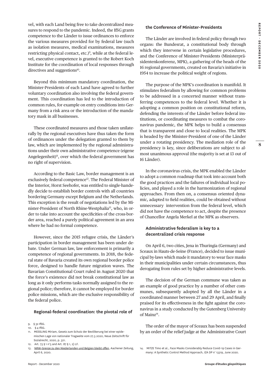vel, with each Land being free to take decentralized measures to respond to the pandemic. Indeed, the IfSG grants competence to the Länder to issue ordinances to enforce the various measures provided for by federal law (such as isolation measures, medical examinations, measures restricting physical contact, etc.)<sup>9</sup>, while at the federal level, executive competence is granted to the Robert Koch Institute for the coordination of local responses through directives and suggestions<sup>10</sup>.

Beyond this minimum mandatory coordination, the Minister-Presidents of each Land have agreed to further voluntary coordination also involving the federal government. This coordination has led to the introduction of common rules, for example on entry conditions into Germany from a risk area or the introduction of the mandatory mask in all businesses.

These coordinated measures and those taken unilaterally by the regional executives have thus taken the form of ordinances under the delegation granted to them by law, which are implemented by the regional administrations under their own administrative competence (eigene Angelegenheit)<sup>11</sup>, over which the federal government has no right of supervision.

According to the Basic Law, border management is an exclusively federal competence<sup>12</sup>. The Federal Minister of the Interior, Horst Seehofer, was entitled to single-handedly decide to establish border controls with all countries bordering Germany except Belgium and the Netherlands. This exception is the result of negotiations led by the Minister-President of North Rhine-Westphalia<sup>13</sup>, who, in order to take into account the specificities of the cross-border area, reached a purely political agreement in an area where he had no formal competence.

However, since the 2015 refugee crisis, the Länder's participation in border management has been under debate. Under German law, law enforcement is primarily a competence of regional governments. In 2018, the federal state of Bavaria created its own regional border police force, designed to handle future migration waves. The Bavarian Constitutional Court ruled in August 2020 that the force's existence did not break constitutional law as long as it only performs tasks normally assigned to the regional police; therefore, it cannot be employed for border police missions, which are the exclusive responsibility of the federal police.

#### **Regional-federal coordination: the pivotal role of**

12. Art. 73 § 1 n°5 and Art. 87 § 1, 2) LF.

#### **the Conference of Minister-Presidents**

The Länder are involved in federal policy through two organs: the Bundesrat, a constitutional body through which they intervene in certain legislative procedures, and the Conference of Minister-Presidents (Ministerpräsidentenkonferenz, MPK), a gathering of the heads of the 16 regional governments, created on Bavaria's initiative in 1954 to increase the political weight of regions.

The purpose of the MPK's coordination is manifold. It stimulates federalism by allowing for common problems to be addressed in a concerted manner without transferring competences to the federal level. Whether it is adopting a common position on constitutional reform, defending the interests of the Länder before federal institutions, or coordinating measures to combat the coronavirus pandemic, the MPK helps to build a consensus that is transparent and close to local realities. The MPK is headed by the Minister-President of one of the Länder under a rotating presidency. The mediation role of the presidency is key, since deliberations are subject to almost unanimous approval (the majority is set at 13 out of 16 Länder).

In the coronavirus crisis, the MPK enabled the Länder to adopt a common roadmap that took into account both the good practices and the failures of individual local policies, and played a role in the harmonization of regional approaches. From then on, a consensus oriented dynamic, adapted to field realities, could be obtained without unnecessary intervention from the federal level, which did not have the competence to act, despite the presence of Chancellor Angela Merkel at the MPK as observers.

#### **Administrative federalism is key to a decentralized crisis response**

On April 6, two cities, Jena in Thuringia (Germany) and Sceaux in Hauts-de-Seine (France), decided to issue municipal by-laws which made it mandatory to wear face masks in their municipalities under certain circumstances, thus derogating from rules set by higher administrative levels.

The decision of the German commune was taken as an example of good practice by a number of other communes, subsequently adopted by all the Länder in a coordinated manner between 27 and 29 April, and finally praised for its effectiveness in the fight against the coronavirus in a study conducted by the Gutenberg University of Mainz<sup>14</sup>.

The order of the mayor of Sceaux has been suspended by an order of the relief judge at the Administrative Court

14. MITZE Timo et al., Face Masks Considerably Reduce Covid-19 Cases in Germany: A Synthetic Control Method Approach, IZA DP n° 13319, June 2020.

<sup>9. § 32</sup> IfSG.

<sup>10. § 4</sup> IfSG.

<sup>11.</sup> MESSLING Miriam, Gesetz zum Schutz der Bevölkerung bei einer epidemischen Lage von nationaler Tragweite vom 27.3.2020, Neue Zeitschrift für Sozialrecht, 2020, p. 321.

<sup>13.</sup> [NRW-Grenze zu den Niederlanden und Belgien bleibt offen,](https://www.aachener-zeitung.de/nrw-region/niederlande/nrw-grenze-zu-den-niederlanden-und-belgien-bleibt-offen_aid-49942137) Aachener Zeitung, April 6, 2020.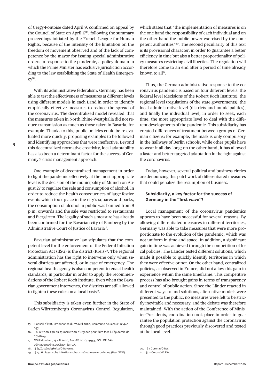of Cergy-Pontoise dated April 9, confirmed on appeal by the Council of State on April 17<sup>15</sup>, following the summary proceedings initiated by the French League for Human Rights, because of the intensity of the limitation on the freedom of movement observed and of the lack of competence by the mayor for issuing special administrative orders in response to the pandemic, a policy domain in which the Prime Minister has exclusive jurisdiction according to the law establishing the State of Health Emergen- $CV<sup>16</sup>$ .

With its administrative federalism, Germany has been able to test the effectiveness of measures at different levels using different models in each Land in order to identify empirically effective measures to reduce the spread of the coronavirus. The decentralized model revealed that the measures taken in North Rhine-Westphalia did not reduce transmission as much as those taken in Bavaria, for example. Thanks to this, public policies could be re-evaluated more quickly, proposing examples to be followed and identifying approaches that were ineffective. Beyond this decentralized normative creativity, local adaptability has also been a determinant factor for the success of Germany's crisis management approach.

One example of decentralized management in order to fight the pandemic effectively at the most appropriate level is the decision of the municipality of Munich on August 27 to regulate the sale and consumption of alcohol. In order to reduce the health consequences of large festive events which took place in the city's squares and parks, the consumption of alcohol in public was banned from 9 p.m. onwards and the sale was restricted to restaurants and Biergärten. The legality of such a measure has already been confirmed for the Bavarian city of Bamberg by the Administrative Court of Justice of Bavaria<sup>17</sup>.

Bavarian administrative law stipulates that the competent level for the enforcement of the Federal Infection Protection Act (IfSG) is the district (Kreis)<sup>18</sup>. The regional administration has the right to intervene only when several districts are affected, or in case of emergency. The regional health agency is also competent to enact health standards, in particular in order to apply the recommendations of the Robert Koch Institute. Even when the Bavarian government intervenes, the districts are still allowed to tighten these rules on a local basis<sup>19</sup>.

This subsidiarity is taken even further in the State of Baden-Württemberg's Coronavirus Control Regulation,

which states that "the implementation of measures is on the one hand the responsibility of each individual and on the other hand the public power exercised by the competent authorities"20. The second peculiarity of this text is its provisional character, in order to guarantee a better efficiency in time but also a better proportionality of policy measures restricting civil liberties. The regulation will therefore come to an end after a period of time already known to all<sup>21</sup>.

Thus, the German administrative response to the coronavirus pandemic is based on four different levels: the federal level (decisions of the Robert Koch Institute), the regional level (regulations of the state governments), the local administrative level (districts and municipalities), and finally the individual level, in order to seek, each time, the most appropriate level to deal with the different developments of the pandemic. This subsidiarity has created differences of treatment between groups of German citizens: for example, the mask is only compulsory in the hallways of Berlin schools, while other pupils have to wear it all day long; on the other hand, it has allowed a faster and better targeted adaptation in the fight against the coronavirus.

Today, however, several political and business circles are denouncing this patchwork of differentiated measures that could penalize the resumption of business.

#### **Subsidiarity, a key factor for the success of Germany in the "first wave"?**

Local management of the coronavirus pandemics appears to have been successful for several reasons. By allowing differentiated measures in different territories, Germany was able to take measures that were more proportionate to the evolution of the pandemic, which was not uniform in time and space. In addition, a significant gain in time was achieved through the competition of local policies. The Länder tested different solutions, which made it possible to quickly identify territories in which they were effective or not. On the other hand, centralized policies, as observed in France, did not allow this gain in experience within the same timeframe. This competitive process has also brought gains in terms of transparency and control of public action. Since the Länder reacted in different ways to find solutions, alternative models were presented to the public, no measures were felt to be strictly inevitable and necessary, and the debate was therefore maintained. With the action of the Conference of Minister-Presidents, coordination took place in order to guarantee the population protection against the coronavirus through good practices previously discovered and tested at the local level.

<sup>15.</sup> Conseil d'État, Ordonnance du 17 avril 2020, Commune de Sceaux, n° 440 057.

<sup>16.</sup> Loi n° 2020-290 du 23 mars 2020 d'urgence pour faire face à l'épidémie de COVID-19.

<sup>17.</sup> VGH München, 13.08.2020, BeckRS 2020, 19555; ECLI:DE:BAY-VGH:2020:0813.20CS20.1821.0A.

<sup>18. § 65</sup> ZuständigkeitsVO Bayerns.

<sup>19. § 23, 6.</sup> Bayerische Infektionsschutzmaßnahmenverordnung (BayIfSMV).

<sup>20. § 1</sup> CoronaVO BW.

<sup>21. § 21</sup> CoronaVO BW.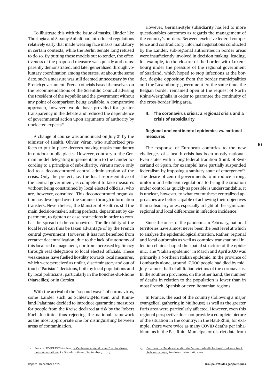To illustrate this with the issue of masks, Länder like Thuringia and Saxony-Anhalt had introduced regulations relatively early that made wearing face masks mandatory in certain contexts, while the Berlin Senate long refused to do so. By putting these models out to tender, the effectiveness of the proposed measure was quickly and transparently demonstrated, and later generalized through voluntary coordination among the states. At about the same date, such a measure was still deemed unnecessary by the French government. French officials based themselves on the recommendations of the Scientific Council advising the President of the Republic and the government without any point of comparison being available. A comparative approach, however, would have provided for greater transparency in the debate and reduced the dependence of governmental action upon arguments of authority by unelected experts<sup>22</sup>.

A change of course was announced on July 31 by the Minister of Health, Olivier Véran, who authorized prefects to put in place decrees making masks mandatory in outdoor public places. However, contrary to the German model delegating implementation to the Länder according to a principle of subsidiarity, Véran's move only led to a deconcentrated central administration of the crisis. Only the prefect, i.e. the local representative of the central government, is competent to take measures without being constrained by local elected officials, who are, however, consulted. This deconcentrated organization has developed over the summer through information transfers. Nevertheless, the Minister of Health is still the main decision-maker, asking prefects, department by department, to tighten or ease restrictions in order to combat the spread of the coronavirus. The flexibility of the local level can thus be taken advantage of by the French central government. However, it has not benefited from creative decentralization, due to the lack of autonomy of this localized management, nor from increased legitimacy through real delegation to local elected officials. These weaknesses have fuelled hostility towards local measures, which were perceived as unfair, discriminatory and out of touch "Parisian" decisions, both by local populations and by local politicians, particularly in the Bouches-du-Rhône (Marseilles) or in Corsica.

With the arrival of the "second wave" of coronavirus, some Länder such as Schleswig-Holstein and Rhineland-Palatinate decided to introduce quarantine measures for people from the Kreise declared at risk by the Robert Koch Institute, thus rejecting the national framework as the most appropriate one for distinguishing between areas of contamination.

However, German-style subsidiarity has led to more questionables outcomes as regards the management of the country's borders. Between exclusive federal competence and contradictory informal negotiations conducted by the Länder, sub-regional authorities in border areas were insufficiently involved in decision-making, leading, for example, to the closure of the border with Luxembourg under the pressure of the regional government of Saarland, which hoped to stop infections at the border, despite opposition from the border municipalities and the Luxembourg government. At the same time, the Belgian border remained open at the request of North Rhine-Westphalia in order to guarantee the continuity of the cross-border living area.

#### **II. The coronavirus crisis: a regional crisis and a crisis of subsidiarity**

#### **Regional and continental epidemics vs. national measures**

The response of European countries to the new challenges of a health crisis has been mostly national. Even states with a long federal tradition (think of Switzerland or Spain, for example) have partially suspended federalism by imposing a sanitary state of emergency<sup>23</sup>. The desire of central governments to introduce strong, uniform and efficient regulations to bring the situation under control as quickly as possible is understandable. It is unclear, however, to what extent these centralized approaches are better capable of achieving their objectives than subsidiary ones, especially in light of the significant regional and local differences in infection incidence.

Since the onset of the pandemic in February, national territories have almost never been the best level at which to analyze the epidemiological situation. Rather, regional and local outbreaks as well as complex transnational infection chains shaped the spatial structure of the epidemic. The "Italian epidemic" in March and April 2020 was primarily a Northern Italian epidemic. In the province of Lombardy alone, around 17,000 people had died by mid-July - almost half of all Italian victims of the coronavirus. In the southern provinces, on the other hand, the number of deaths in relation to the population is lower than in most French, Spanish or even Romanian regions.

In France, the east of the country (following a major evangelical gathering in Mulhouse) as well as the greater Paris area were particularly affected. However, even this regional perspective does not provide a complete picture of the situation in the country: in the Haut-Rhin, for example, there were twice as many COVID deaths per inhabitant as in the Bas-Rhin. Municipal or district data from

<sup>22.</sup> See also ROSPARS Théophile, [Le Centrisme intégral, voie d'un pluralisme](https://legrandcontinent.eu/fr/2019/09/03/le-centrisme-integral-voie-dun-pluralisme-para-democratique/)  [para-démocratique](https://legrandcontinent.eu/fr/2019/09/03/le-centrisme-integral-voie-dun-pluralisme-para-democratique/), Le Grand continent, September 3, 2019.

<sup>23.</sup> [Coronavirus: Bundesrat erklärt die "ausserordentliche Lage" und verschärft](https://www.admin.ch/gov/de/start/dokumentation/medienmitteilungen.msg-id-78454.html)  [die Massnahmen](https://www.admin.ch/gov/de/start/dokumentation/medienmitteilungen.msg-id-78454.html), Bundesrat, March 16, 2020.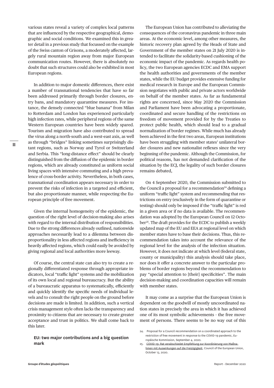various states reveal a variety of complex local patterns that are influenced by the respective geographical, demographic and social conditions. We examined this in greater detail in a previous study that focussed on the example of the Swiss canton of Grisons, a moderately affected, largely rural mountain region away from major European communication routes. However, there is absolutely no doubt that such structures could also be exhibited in most European regions.

In addition to major domestic differences, there exist a number of transnational tendencies that have so far been addressed primarily through border closures, entry bans, and mandatory quarantine measures. For instance, the densely connected "blue banana" from Milan to Rotterdam and London has experienced particularly high infection rates, while peripheral regions of the same Western European countries have been widely spared. Tourism and migration have also contributed to spread the virus along a north-south and a west-east axis, as well as through "bridges" linking sometimes surprisingly distant regions, such as Norway and Tyrol or Switzerland and Serbia. This "long-distance effect" should be clearly distinguished from the diffusion of the epidemic in border regions, which are already constituted as uniform social living spaces with intensive commuting and a high prevalence of cross-border activity. Nevertheless, in both cases, transnational coordination appears necessary in order to prevent the risks of infection in a targeted and efficient, but also proportionate manner, while respecting the European principle of free movement.

Given the internal homogeneity of the epidemic, the question of the right level of decision-making also arises with regard to the internal distribution of responsibilities. Due to the strong differences already outlined, nationwide approaches necessarily lead to a dilemma between disproportionality in less affected regions and inefficiency in heavily affected regions, which could easily be avoided by giving regional and local authorities more leeway.

Of course, the central state can also try to create a regionally differentiated response through appropriate indicators, local "traffic light" systems and the mobilization of its own local and regional bureaucracy. But the ability of a bureaucratic apparatus to systematically, efficiently and quickly identify the specific needs of individual levels and to consult the right people on the ground before decisions are made is limited. In addition, such a vertical crisis management style often lacks the transparency and proximity to citizens that are necessary to create greater acceptance and trust in politics. We shall come back to this later.

#### **EU: two major contributions and a big question mark**

The European Union has contributed to alleviating the consequences of the coronavirus pandemic in three main areas. At the economic level, among other measures, the historic recovery plan agreed by the Heads of State and Government of the member states on 21 July 2020 is intended to facilitate the solidarity-based cushioning of the economic impact of the pandemic. As regards health policy, the two European agencies ECDC and EMA support the health authorities and governments of the member states, while the EU budget provides extensive funding for medical research in Europe and the European Commission negotiates with public and private actors worldwide on behalf of the member states. As far as fundamental rights are concerned, since May 2020 the Commission and Parliament have been advocating a proportionate, coordinated and secure handling of the restrictions on freedom of movement provided for by the Treaties to protect public health, which should lead to a gradual normalization of border regimes. While much has already been achieved in the first two areas, European institutions have been struggling with member states' unilateral border closures and new nationalist reflexes since the very beginning of the pandemic. Although the Commission, for political reasons, has not demanded clarification of the situation by the ECJ, the legality of such border closures remains debated,

On 4 September 2020, the Commission submitted to the Council a proposal for a recommendation $24$  defining a uniform "traffic light" system and recommending that restrictions on entry (exclusively in the form of quarantine or testing) should only be imposed if the "traffic light" is red in a given area or if no data is available. The recommendation was adopted by the European Council on 12 October<sup>25</sup>. The draft provides for the ECDC to publish a weekly updated map of the EU and EEA at regional level on which member states have to base their decisions. Thus, this recommendation takes into account the relevance of the regional level for the analysis of the infection situation. However, it does not indicate at which level (federal state, county or municipality) this analysis should take place, nor does it offer a concrete answer to the particular problems of border regions beyond the recommendation to pay "special attention to [their] specificities". The main decision-making and coordination capacities will remain with member states.

It may come as a surprise that the European Union is dependent on the goodwill of mostly uncoordinated nation states in precisely the area in which it has achieved one of its most symbolic achievements - the free movement of persons. There seems to be no way out of this

<sup>24.</sup> Proposal for a Council recommendation on a coordinated approach to the restriction of free movement in response to the COVID-19 pandemic, Europäische Kommission, September 4, 2020.

<sup>25.</sup> [COVID-19: Rat verabschiedet Empfehlung zur Koordinierung von Maßna](https://www.consilium.europa.eu/de/press/press-releases/2020/10/13/covid-19-council-adopts-a-recommendation-to-coordinate-measures-affecting-free-movement/)[hmen mit Auswirkungen auf die Freizügigkeit](https://www.consilium.europa.eu/de/press/press-releases/2020/10/13/covid-19-council-adopts-a-recommendation-to-coordinate-measures-affecting-free-movement/), Council of the European Union, October 13, 2020.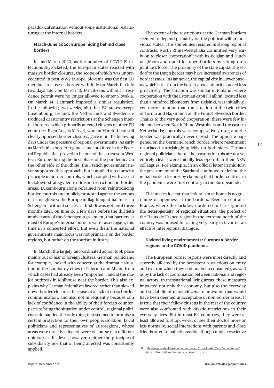paradoxical situation without some institutional restructuring at the internal borders.

#### **March-June 2020: Europe hiding behind close borders**

In mid-March 2020, as the number of COVID-19 infections skyrocketed, the European states reacted with massive border closures, the scope of which was unprecedented in post-WW2 Europe. Slovenia was the first EU member to close its border with Italy on March 11. Only two days later, on March 13, EU citizens without a residence permit were no longer allowed to enter Slovakia. On March 14, Denmark imposed a similar regulation. In the following two weeks, all other EU states except Luxembourg, Ireland, the Netherlands and Sweden introduced drastic entry restrictions at the Schengen internal borders, which primarily affected citizens of other EU countries. Even Angela Merkel, who on March 11 had still clearly opposed border closures, gave in in the following days under the pressure of regional governments. As early as March 16, a border regime came into force in the Federal Republic that proved to be one of the strictest in Western Europe during the first phase of the pandemic. On the other side of the Rhine, the French government never supported this approach, but it applied a reciprocity principle in border controls, which, coupled with a strict lockdown strategy, led to drastic restrictions in border areas. Luxembourg alone refrained from reintroducing border controls and publicly protested against the actions of its neighbors; the European flag hung at half-mast in Schengen - without success at first. It was not until three months later, on June 15, a few days before the thirtieth anniversary of the Schengen Agreement, that barriers at most of Europe's internal borders were raised again, this time in a concerted effort. But even then, the national governments' main focus was not primarily on the border regions, but rather on the tourism industry.

In March, the largely uncoordinated action took place mainly out of fear of foreign clusters. German politicians, for example, looked with concern at the dramatic situation in the Lombardy cities of Palermo and Milan, from which cases had already been "imported", and at the major outbreak in Mulhouse near the border. This also explains why German federalism favored rather than slowed down border closures: because of a lack of cross-border communication, and also not infrequently because of a lack of confidence in the ability of their foreign counterparts to bring the situation under control, regional politicians demanded the only thing that seemed to promise a certain protection for their own people: isolation. Local politicians and representatives of Euroregions, whose areas were directly affected, were of course of a different opinion: at this level, however, neither the principle of subsidiarity nor that of being affected was consistently applied.

The extent of the restrictions at the German borders seemed to depend primarily on the political will in individual states. This sometimes resulted in strong regional contrasts: North Rhine-Westphalia committed very early on to closer cooperation<sup>26</sup> with its Belgian and Dutch neighbors and opted for open borders by setting up a joint task force. The proximity of the state capital Düsseldorf to the Dutch border may have increased awareness of border issues: In Hannover, the capital city in Lower Saxony which is far from the border area, authorities acted less proactively. The situation was similar in Finland, where cooperation with the Estonian capital Tallinn, located less than a hundred kilometers from Helsinki, was initially given more attention than the situation in the twin cities of Tornio and Haparanda on the Finnish-Swedish border. Thanks to the very good cooperation, there were few incidents between North Rhine-Westphalia and the eastern Netherlands; controls were comparatively rare, and the border was practically never closed. The opposite happened on the German-French border, where resentment resurfaced surprisingly quickly on both sides. German regional politicians there - the reasons for this are not yet entirely clear - were initially less open than their NRW colleagues. For example, in an official letter in mid-July, the government of the Saarland continued to defend the initial border closures by claiming that border controls in the pandemic were "not contrary to the European idea".

This makes it clear that federalism at home is no guarantee of openness at the borders. Even in centralist France, where the lockdown ordered in Paris ignored the heterogeneity of regional situations, the prefect of the Hauts-de-France region in the extreme north of the country was praised for acting very early in favor of an effective interregional dialogue.

### **Divided living environments: European Border regions in the COVID pandemic**

The European border regions were most directly and severely affected by the persistent restrictions on entry and exit (on which they had not been consulted), as well as by the lack of coordination between national and regional actors. In transnational living areas, these measures impacted not only the economy, but also the everyday and social life of many citizens to an extent that would have been deemed unacceptable in non-border areas. It is true that their fellow citizens in the rest of the country were also confronted with drastic restrictions in their everyday lives. But in most EU countries, they were at least allowed to shop, work, or see their doctor more or less normally; social interactions with parents and close friends often remained possible, though under restrictive

<sup>26.</sup> [Ministerpräsident Laschet initiiert eine "Cross-Border Task Force Corona"](https://www.land.nrw/de/pressemitteilung/ministerpraesident-laschet-initiiert-eine-cross-border-task-force-corona), State of North Rhine-Westphalia, March 20, 2020.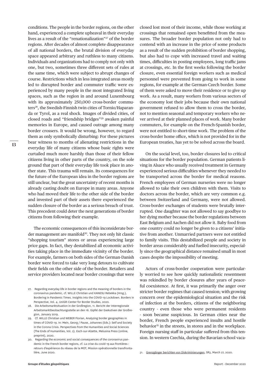conditions. The people in the border regions, on the other hand, experienced a complete upheaval in their everyday lives as a result of the "renationalization"27 of the border regions. After decades of almost complete disappearance of all national borders, the brutal division of everyday space appeared arbitrary and ruthless to many citizens. Individuals and organizations had to comply not only with one, but two, sometimes three different sets of rules at the same time, which were subject to abrupt changes of course. Restrictions which in less integrated areas mostly led to disrupted border and commuter traffic were experienced by many people in the most integrated living spaces, such as the region in and around Luxembourg with its approximately 250,000 cross-border commuters<sup>28</sup>, the Swedish-Finnish twin cities of Tornio/Haparanda or Tyrol, as a real shock. Images of divided cities, of closed roads and "friendship bridges"29 awaken painful memories in Europe, and caused outrage among many border crossers. It would be wrong, however, to regard them as only symbolically disturbing: For these pictures bear witness to months of alienating restrictions in the everyday life of many citizens whose basic rights were curtailed much more harshly than those of their fellow citizens living in other parts of the country, on the sole ground that part of their everyday life took place in another state. This trauma will remain. Its consequences for the future of the European idea in the border regions are still unclear, but the great uncertainty of recent months is already casting doubt on Europe in many areas. Anyone who had moved their life to the other side of the border and invested part of their assets there experienced the sudden closure of the border as a serious breach of trust. This precedent could deter the next generations of border citizens from following their example.

The economic consequences of this inconsiderate border management are manifold<sup>30</sup>. They not only hit classic "shopping tourism" stores or areas experiencing large price gaps. In fact, they destabilized all economic activities taking place in the immediate vicinity of the border. For example, farmers on both sides of the German-Danish border were forced to take very long detours to cultivate their fields on the other side of the border. Retailers and service providers located near border crossings that were

closed lost most of their income, while those working at crossings that remained open benefitted from the measures. The broader border population not only had to contend with an increase in the price of some products as a result of the sudden prohibition of border shopping, but also had to cope with increased travel and waiting times, difficulties in posting employees, long traffic jams at crossings, etc. In the first weeks following the border closure, even essential foreign workers such as medical personnel were prevented from going to work in some regions, for example at the German-Czech border. Some of them were asked to move their residence or to give up work. As a result, many workers from various sectors of the economy lost their jobs because their own national government refused to allow them to cross the border, not to mention seasonal and temporary workers who never arrived at their planned places of work. Many border commuters, for example on the French-Spanish border, were not entitled to short-time work. The problem of the cross-border home office, which is not provided for in the European treaties, has yet to be solved across the board.

On the social level, too, border closures led to critical situations for the border population. German patients living in Alsace who usually received treatment in Germany experienced serious difficulties whenever they needed to be transported across the border for medical reasons. French employees of German nurseries were no longer allowed to take their own children with them. Visits to doctors across the border, which are very common e.g. between Switzerland and Germany, were not allowed. Cross-border exchanges of students were brutally interrupted. One daughter was not allowed to say goodbye to her dying mother because the border regulations between East Belgium and Aachen did not allow it. Baby food from one country could no longer be given to a citizens' initiative from another. Unmarried partners were not entitled to family visits. This destabilized people and society in border areas considerably and fuelled insecurity, especially since the geographical distance remained small in most cases despite the impossibility of meeting.

Actors of cross-border cooperation were particularly worried to see how quickly nationalistic resentment was rekindled by border closures after years of peaceful coexistence. At first, it was primarily the anger over stricter border regimes that caused tension; with growing concern over the epidemiological situation and the risk of infection at the borders, citizens of the neighboring country - even those who were permanent residents - soon became suspicious. In German cities near the border, French people experienced insults and hostile behavior<sup>31</sup> in the streets, in stores and in the workplace. Foreign nursing staff in particular suffered from this tension. In western Czechia, during the Bavarian school vaca-

**13**

<sup>27.</sup> Regarding everyday life in border regions and the meaning of borders in the coronavirus pandemic, cf. WILLE Christian und KANESU Rebekka (Hrsg.), Bordering in Pandemic Times. Insights into the COVID-19 Lockdown. Borders in Perspective, Vol. 4, UniGR-Center for Border Studies, 2020.

<sup>28.</sup> Die Arbeitsmarktsituation in der Großregion, 11. Bericht der Interregionale Arbeitsmarktbeobachtungsstelle an den 16. Gipfel der Exekutiven der Großregion, January 2019.

<sup>29.</sup> Cf. WILLE Christian und WEBER Florian, Analyzing border geographies in times of COVID-19. In: Mein, Georg / Pause, Johannes (Eds.): Self and Society in the Corona Crisis. Perspectives from the Humanities and Social Sciences (The Ends of Humanities, Vol. 2). Esch-sur-Alzette, Melusina Press (online, preprint), 2020.

<sup>30.</sup> Regarding the economic and social consequences of the coronavirus pandemic in the French border regions, cf. La crise du covid-19 aux frontières : retours d'expérience du réseau de la MOT, Mission opérationnelle transfrontalière, June 2020.

<sup>31.</sup> [Grenzgänger berichten von Diskriminierungen](https://www.sr.de/sr/sr3/themen/panorama/corona_schutz_fuer_grenzgaenger_diskriminierungen_100.html), SR3, March 27, 2020.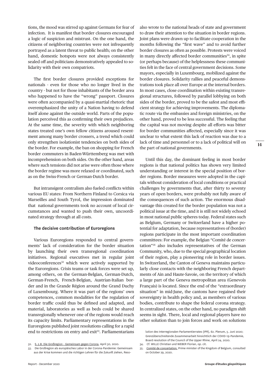tions, the mood was stirred up against Germans for fear of infection. It is manifest that border closures encouraged a logic of suspicion and mistrust. On the one hand, the citizens of neighboring countries were not infrequently portrayed as a latent threat to public health; on the other hand, domestic hotspots were not always consistently sealed off and politicians demonstratively appealed to solidarity with their own compatriots.

The first border closures provided exceptions for nationals - even for those who no longer lived in the country - but not for those inhabitants of the border area who happened to have the "wrong" passport. Closures were often accompanied by a quasi-martial rhetoric that overemphasized the unity of a Nation having to defend itself alone against the outside world. Parts of the population perceived this as confirming their own prejudices. At the same time, the severity with which neighboring states treated one's own fellow citizens aroused resentment among many border crossers, a trend which could only strengthen isolationist tendencies on both sides of the border. For example, the ban on shopping for French border commuters in Baden-Württemberg was met with incomprehension on both sides. On the other hand, areas where such tensions did not arise were often those where the border regime was more relaxed or coordinated, such as on the Swiss-French or German-Dutch border.

But intransigent centralism also fueled conflicts within various EU states: From Northern Finland to Corsica via Marseilles and South Tyrol, the impression dominated that national governments took no account of local circumstances and wanted to push their own, uncoordinated strategy through at all costs.

#### **The decisive contribution of Euroregions**

Various Euroregions responded to central governments' lack of consideration for the border situation by launching their own transregional coordination initiatives. Regional executives met in regular joint videoconferences<sup>32</sup> which were actively supported by the Euroregions. Crisis teams or task forces were set up, among others, on the German-Belgian, German-Dutch, German-French, French-Belgian, Austrian-Italian border and in the Grande Région around the Grand Duchy of Luxembourg. Where it was part of the regions' own competences, common modalities for the regulation of border traffic could thus be defined and adapted, and material, laboratories as well as beds could be shared transregionally whenever one of the regions would reach its capacity limits. Parliamentary representations in the Euroregions published joint resolutions calling for a rapid end to restrictions on entry and exit<sup>33</sup>. Parliamentarians

33. Die Großregion als europäisches Labor in der Corona-Pandemie: Gemeinsam aus der Krise kommen und die richtigen Lehren für die Zukunft ziehen, Reso-

also wrote to the national heads of state and government to draw their attention to the situation in border regions. Joint plans were drawn up to facilitate cooperation in the months following the "first wave" and to avoid further border closures as often as possible. Protests were voiced in many directly affected border communities<sup>34</sup>, in spite (or perhaps because) of the helplessness these communities felt in the face of central government decisions. Some mayors, especially in Luxembourg, mobilized against the border closures. Solidarity rallies and peaceful demonstrations took place all over Europe at the internal borders. In most cases, close coordination within existing transregional structures, followed by parallel lobbying on both sides of the border, proved to be the safest and most efficient strategy for achieving improvements. The diplomatic route via the embassies and foreign ministries, on the other hand, proved to be less successful. The feeling that the capital was not moving despite all efforts was bitter for border communities affected, especially since it was unclear to what extent this lack of reaction was due to a lack of time and personnel or to a lack of political will on the part of national governments.

Until this day, the dominant feeling in most border regions is that national politics has shown very limited understanding or interest in the special position of border regions. Border measures were adopted in the capitals without consideration of local conditions or practical challenges by governments that, after thirty to seventy years of open borders, were probably not fully aware of the consequences of such action. The enormous disadvantage this created for the border population was not a political issue at the time, and it is still not widely echoed in most national public spheres today. Federal states such as Belgium, Germany or Switzerland have a higher potential for adaptation, because representatives of (border) regions participate in the most important coordination committees: For example, the Belgian "Comité de concertation"35 also includes representatives of the German Community, who, due to the special geographical location of their region, play a pioneering role in border issues. In Switzerland, the Canton of Geneva maintains particularly close contacts with the neighboring French departments of Ain and Haute-Savoie, on the territory of which a large part of the Geneva metropolitan area (Genevois Français) is located. Since the end of the "extraordinary situation" in mid-June, the cantons have regained their sovereignty in health policy and, as members of various bodies, contribute to shape the federal corona strategy. In centralized states, on the other hand, no paradigm shift seems in sight. There, local and regional players have no other solution than to join forces and work on solutions

35. [Comité de concertation,](https://www.premier.be/fr/comite-de-concertation) Prime minister of the Kingdom of Belgium, consulted on October 29, 2020.

<sup>32.</sup> [S. z.B. Die Großregion - Gemeinsam gegen Corona](http://www.grossregion.net/Aktuelles/2020/Die-Grossregion-Gemeinsam-gegen-Corona), April 30, 2020.

lution des Interregionalen Parlamentierrates (IPR), 62. Plenum, 5. Juni 2020; Grenzüberschreitende Zusammenarbeit hinsichtlich der COVID-19-Pandemie, Board resolution of the Council of the Upper Rhine, April 24, 2020.

<sup>34.</sup> Cf. WILLE Christian und WEBER Florian, op. cit.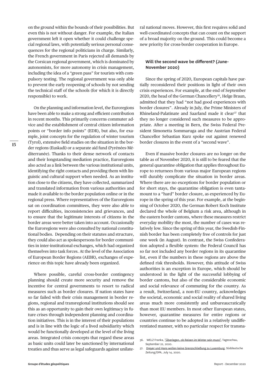on the ground within the bounds of their possibilities. But even this is not without danger. For example, the Italian government left it open whether it could challenge special regional laws, with potentially serious personal consequences for the regional politicians in charge. Similarly, the French government in Paris rejected all demands by the Corsican regional government, which is dominated by autonomists, for more autonomy in crisis management, including the idea of a "green pass" for tourists with compulsory testing. The regional government was only able to prevent the early reopening of schools by not sending the technical staff of the schools (for which it is directly responsible) to work.

On the planning and information level, the Euroregions have been able to make a strong and efficient contribution in recent months. This primarily concerns commuter advice and the establishment of central citizen information points or "border info points" (EDR), but also, for example, joint concepts for the regulation of winter tourism (Tyrol), extensive field studies on the situation in the border regions (Euskadi) or a separate aid fund (Pyrénées-Méditerranée). Thanks to their dense network of contacts and their longstanding mediation practice, Euroregions also acted as a link between the various institutional units, identifying the right contacts and providing them with linguistic and cultural support when needed. As an institution close to the citizens, they have collected, summarized and translated information from various authorities and made it available to the border population online or in the regional press. Where representatives of the Euroregions sat on coordination committees, they were also able to report difficulties, inconsistencies and grievances, and to ensure that the legitimate interests of citizens in the border areas were better taken into account. Occasionally the Euroregions were also consulted by national constitutional bodies. Depending on their statutes and structure, they could also act as spokespersons for border communities in inter-institutional exchanges, which had organized themselves into task forces. At the level of the Association of European Border Regions (AEBR), exchanges of experience on this topic have already been organized.

Where possible, careful cross-border contingency planning should create more security and remove the incentive for central governments to resort to radical measures such as border closures. If nation states have so far failed with their crisis management in border regions, regional and transregional institutions should see this as an opportunity to gain their own legitimacy in future crises through independent planning and coordination initiatives. This is in the interest of their populations and is in line with the logic of a lived subsidiarity which would be functionally developed at the level of the living areas. Integrated crisis concepts that regard these areas as basic units could later be sanctioned by international treaties and thus serve as legal safeguards against unilateral national moves. However, this first requires solid and well-coordinated concepts that can count on the support of a broad majority on the ground. This could become a new priority for cross-border cooperation in Europe.

### **Will the second wave be different? (June-November 2020)**

Since the spring of 2020, European capitals have partially reconsidered their positions in light of their own crisis experiences. For example, at the end of September 2020, the head of the German Chancellery<sup>36</sup>, Helge Braun, admitted that they had "not had good experiences with border closures". Already in July, the Prime Ministers of Rhineland-Palatinate and Saarland made it clear<sup>37</sup> that they no longer considered such measures to be appropriate. After a meeting in Bern, the Swiss Federal President Simonetta Sommaruga and the Austrian Federal Chancellor Sebastian Kurz spoke out against renewed border closures in the event of a "second wave".

Even if massive border closures are no longer on the table as of November 2020, it is still to be feared that the general quarantine obligation that applies throughout Europe to returnees from various major European regions will durably complicate the situation in border areas. Where there are no exceptions for border population or for short stays, the quarantine obligation is even tantamount to a "hard" border closure, as experienced by Europe in the spring of this year. For example, at the beginning of October 2020, the German Robert Koch Institute declared the whole of Belgium a risk area, although in the eastern border cantons, where these measures restrict everyday mobility the most, the number of cases was relatively low. Since the spring of this year, the Swedish-Finnish border has been completely free of controls for just one week (in August). In contrast, the Swiss Confederation adopted a flexible system: the Federal Council has so far not included any border regions in its quarantine list, even if the numbers in these regions are above the defined risk thresholds. However, this attitude of Swiss authorities is an exception in Europe, which should be understood in the light of the successful lobbying of border cantons, but also of the considerable economic and social relevance of commuting for the country. As a result, Switzerland, a non-EU country, acknowledges the societal, economic and social reality of shared living areas much more consistently and unbureaucratically than most EU members. In most other European states, however, quarantine measures for entire regions or countries continue to be adopted in a relatively undifferentiated manner, with no particular respect for transna-

<sup>36.</sup> WELZ Franka, "[Überlegen, ob Reisen im Winter sein muss](https://www.tagesschau.de/inland/corona-vorbereitungen-deutschland-101.html)", Tagesschau, September 22, 2020.

<sup>37.</sup> [Dreyer und Hans wollen keine Grenzschließung zu Luxemburg](https://www.sueddeutsche.de/gesundheit/gesundheit-saarbruecken-dreyer-und-hans-wollen-keine-grenzschliessung-zu-luxemburg-dpa.urn-newsml-dpa-com-20090101-200714-99-789810), Süddeutsche Zeitung/DPA, July 14, 2020.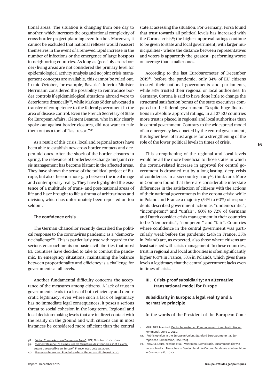tional areas. The situation is changing from one day to another, which increases the organizational complexity of cross-border project planning even further. Moreover, it cannot be excluded that national reflexes would reassert themselves in the event of a renewed rapid increase in the number of infections or the emergence of large hotspots in neighboring countries. As long as (possibly cross-border) living areas are not considered the primary level for epidemiological activity analysis and no joint crisis management concepts are available, this cannot be ruled out. In mid-October, for example, Bavaria's Interior Minister Herrmann considered the possibility to reintroduce border controls if epidemiological situations abroad were to deteriorate drastically<sup>38</sup>, while Markus Söder advocated a transfer of competence to the federal government in the area of disease control. Even the French Secretary of State for European Affairs, Clément Beaune, who in July clearly spoke out against border closures, did not want to rule them out as a tool of "last resort"39.

As a result of this crisis, local and regional actors have been able to establish new cross-border contacts and deepen old ones. After the shock of the border closures in spring, the relevance of borderless exchange and joint crisis management has become blatant in the affected areas. They have shown the sense of the political project of Europe, but also the enormous gap between the ideal image and contemporary reality. They have highlighted the existence of a multitude of trans- and post-national areas of life and have brought to life a drama of arbitrariness and division, which has unfortunately been reported on too seldom.

#### **The confidence crisis**

The German Chancellor recently described the political response to the coronavirus pandemic as a "democratic challenge"40. This is particularly true with regard to the serious encroachments on basic civil liberties that most EU countries have decided to take to combat the pandemic. In emergency situations, maintaining the balance between proportionality and efficiency is a challenge for governments at all levels.

Another fundamental difficulty concerns the acceptance of the measures among citizens. A lack of trust in governments leads to a loss of both efficiency and democratic legitimacy; even where such a lack of legitimacy has no immediate legal consequences, it poses a serious threat to social cohesion in the long term. Regional and local decision-making levels that are in direct contact with the reality on the ground and with citizens can in most instances be considered more efficient than the central state at assessing the situation. For Germany, Forsa found that trust towards all political levels has increased with the Corona crisis<sup>41</sup>; the highest approval ratings continue to be given to state and local government, with larger municipalities - where the distance between representatives and voters is apparently the greatest - performing worse on average than smaller ones.

According to the last Eurobarometer of December 201942, before the pandemic, only 34% of EU citizens trusted their national governments and parliaments, while 53% trusted their regional or local authorities. In Germany, Corona is said to have done little to change the structural satisfaction bonus of the state executives compared to the federal government. Despite huge fluctuations in absolute approval ratings, in all 27 EU countries more trust is placed in regional and local authorities than in central government. Contrary to the widespread model of an emergency law enacted by the central government, this higher level of trust argues for a strengthening of the role of the lower political levels in times of crisis.

This strengthening of the regional and local levels would be all the more beneficial to those states in which the corona-related increase in approval for central government is drowned out by a long-lasting, deep crisis of confidence. In a six-country study<sup>43</sup>, think tank More in Common found that there are considerable interstate differences in the satisfaction of citizens with the actions of their national governments in the corona crisis: while in Poland and France a majority (54% to 60%) of respondents described government action as "undemocratic", "incompetent" and "unfair", 60% to 72% of Germans and Dutch consider crisis management in their countries to be "democratic", "competent" and "fair". Countries where confidence in the central government was particularly weak before the pandemic (24% in France, 35% in Poland) are, as expected, also those where citizens are least satisfied with crisis management. In these countries, trust in regional and local authorities is often significantly higher (60% in France, 53% in Poland), which gives these levels a legitimacy that the central government lacks even in times of crisis.

### **III. Crisis-proof subsidiarity: an alternative transnational model for Europe**

### **Subsidiarity in Europe: a legal reality and a normative principle**

In the words of the President of the European Com-

- 41. GÜLLNER Manfred, [Deutsche vertrauen Kommunen und ihren Institutionen,](https://kommunal.de/forsa-corona-kommunen) Kommunal, June 2, 2020.
- 42. Public opinion in the European Union, Standard Eurobarometer 92, Europäische Kommission, Dec. 2019.
- 43. KRAUSE Laura-Kristine et al., Vertrauen, Demokratie, Zusammenhalt: wie unterschiedlich Menschen in Deutschland die Corona-Pandemie erleben, More in Common e.V., 2020.

<sup>38.</sup> [Söder: Corona-App ein "zahnloser Tiger](https://www.zdf.de/nachrichten/politik/coronavirus-soeder-corona-app-update-100.html)", ZDF, October 2020, 2020.

<sup>39.</sup> [Clément Beaune : "Les mesures de fermeture des frontières sont à éviter](https://www.franceinter.fr/emissions/l-invite-de-8h20-le-grand-entretien/l-invite-de-8h20-le-grand-entretien-29-juillet-2020) 

[autant que possible en Europe"](https://www.franceinter.fr/emissions/l-invite-de-8h20-le-grand-entretien/l-invite-de-8h20-le-grand-entretien-29-juillet-2020), France Inter, July 29, 2020. 40. [Pressekonferenz von Bundeskanzlerin Merkel am 28. August 2020.](https://www.bundeskanzlerin.de/bkin-de/aktuelles/pressekonferenz-von-bundeskanzlerin-merkel-am-28-august-2020-1781008)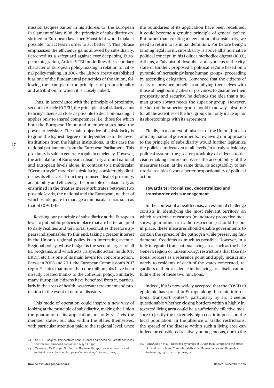mission Jacques Santer in his address to the European Parliament of May 1998, the principle of subsidiarity enshrined in European law since Maastricht would make it possible "to act less in order to act better"44. This phrase emphasizes the efficiency gains allowed by subsidiarity. Perceived as a safeguard against ever-deepening European integration, Article 5 TEU underlines the secondary character of European policy-making in relation to national policy-making. In 2007, the Lisbon Treaty established it as one of the fundamental principles of the Union, following the example of the principles of proportionality and attribution, to which it is closely linked.

Thus, in accordance with the principle of proximity, set out in Article 10 TEU, the principle of subsidiarity aims to bring citizens as close as possible to decision-making. It applies only to shared competences, i.e. those for which both the European Union and member states have the power to legislate. The main objective of subsidiarity is to grant the highest degree of independence to the lower institutions from the higher institutions, in this case the national parliaments from the European Parliament. This proximity is said to generate a gain in efficiency. However, the articulation of European subsidiarity around national and European levels alone, in contrast to a multiscalar "German-style" model of subsidiarity, considerably diminishes its effect. Far from the promised ideal of proximity, adaptability and efficiency, the principle of subsidiarity as enshrined in the treaties merely arbitrates between two possible levels, the national and the European, neither of which is adequate to manage a multiscalar crisis such as that of COVID-19.

Revising our principle of subsidiarity at the European level to put public policies in place that are better adapted to daily realities and territorial specificities therefore appears indispensable. To this end, taking a greater interest in the Union's regional policy is an interesting avenue. Regional policy, whose budget is the second largest of all EU programs, and which acts via specific action funds (CF, ERDF, etc.), is one of its main levers for concrete action. Between 2008 and 2011, the European Commission's 2017 report<sup>45</sup> states that more than one million jobs have been directly created thanks to the cohesion policy. Similarly, many European citizens have benefited from it, particularly in the areas of health, wastewater treatment and protection in the event of natural disasters.

This mode of operation could inspire a new way of looking at the principle of subsidiarity, making the Union the guarantor of its application not only vis-à-vis the member states, but also within the States themselves, with particular attention paid to the regional level. Once

the boundaries of its application have been redefined, it could become a genuine principle of general policy. But rather than creating a new notion of subsidiarity, we need to return to its initial definition. For before being a binding legal norm, subsidiarity is above all a normative political concept. In his Politica methodice digesta (1603), Althaus, a Calvinist philosopher and syndicus of the citystate of Emden, proposed a political regime based on a pyramid of increasingly large human groups, proceeding by ascending delegation. Convinced that the citizens of a city or province benefit from allying themselves with those of neighboring cities or provinces to guarantee their prosperity and security, he defends the idea that a human group always needs the superior group. However, the help of the superior group should in no way substitute for all the activities of the first group, but only make up for its shortcomings with its agreement.

Finally, in a context of mistrust of the Union, but also of many national governments, reviewing our approach to the principle of subsidiarity would further legitimize the policies undertaken at all levels. In a truly subsidiary political system, the greater proximity of citizens to decision-making centers increases the acceptability of the measures taken; at the same time, its adaptability to territorial realities favors a better proportionality of political action.

#### **Towards territorialized, decentralized and transborder crisis management**

In the context of a health crisis, an essential challenge consists in identifying the most relevant territory on which restrictive measures (mandatory protective measures, quarantine or traffic restrictions) should be put in place; these measures should enable governments to contain the spread of the pathogen while preserving fundamental freedoms as much as possible. However, in a fully integrated transnational living area, such as the Lake Geneva region or Luxembourg, restrictions that take national borders as a reference point and apply indiscriminately to residents of each of the states concerned, regardless of their residence in the living area itself, cannot fulfil either of these two functions.

Indeed, if it is now widely accepted that the COVID-19 epidemic has spread in Europe along the main international transport routes<sup>46</sup>, particularly by air, it seems questionable whether closing borders within a highly integrated living area could be a sufficiently effective measure to justify the extremely high cost it imposes on the local population. In the absence of traffic restrictions, the spread of the disease within such a living area can indeed be considered relatively homogeneous, due to the

<sup>44.</sup> SANTER Jacques, Perspectives pour le Conseil européen de Cardiff: des idées pour l'avenir, European Parliament, May 27, 1998.

<sup>45.</sup> My region, My Europe, Our future: The seventh report on economic, social and territorial cohesion, European Commission, October 9, 2017.

<sup>46.</sup> LINKA Kevin et al., Outbreak dynamics of COVID-19 in Europe and the effect of travel restrictions, Computer Methods in Biomechanics and Biomedical Engineering, 23:11, 2020, p. 710-717.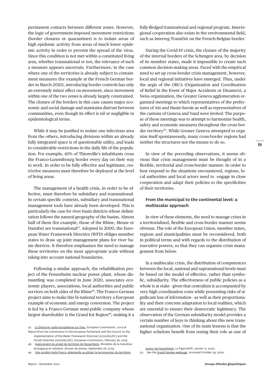permanent contacts between different zones. However, the logic of government-imposed movement restrictions (border closures or quarantines) is to isolate areas of high epidemic activity from areas of much lower epidemic activity in order to prevent the spread of the virus. Since this condition is not met within a constituted living area, whether transnational or not, the relevance of such a measure appears uncertain. Furthermore, in the case where one of the territories is already subject to containment measures (for example at the French-German border in March 2020), introducing border controls has only an extremely minor effect on movement, since movement within one of the two zones is already largely constrained. The closure of the borders in this case causes major economic and social damage and maintains distrust between communities, even though its effect is nil or negligible in epidemiological terms.

While it may be justified to isolate one infectious area from the others, introducing divisions within an already fully integrated space is of questionable utility, and leads to considerable restrictions in the daily life of the population. For example, 40% of Thionville's inhabitants cross the Franco-Luxembourg border every day on their way to work. In order to be fully effective and legitimate, restrictive measures must therefore be deployed at the level of living areas.

The management of a health crisis, in order to be effective, must therefore be subsidiary and transnational. In certain specific contexts, subsidiary and transnational management tools have already been developed. This is particularly the case for river basin districts whose delimitation follows the natural geography of the basins. Almost half of them (for example, those of the Rhine, Meuse or Danube) are transnational<sup>47</sup>. Adopted in 2000, the European Water Framework Directive (WFD) obliges member states to draw up joint management plans for river basin districts. It therefore emphasizes the need to manage these territories on the most appropriate scale without taking into account national boundaries.

Following a similar approach, the rehabilitation project of the Fessenheim nuclear power plant, whose dismantling was completed in June 2020, associates economic players, associations, local authorities and public services on both sides of the Rhine<sup>48</sup>. The Franco-German project aims to make this bi-national territory a European example of economic and energy conversion. The project is led by a Franco-German semi-public company whose largest shareholder is the Grand Est Region<sup>49</sup>, making it a

fully-fledged transnational and regional program. Interregional cooperation also exists in the environmental field, such as Interreg TransfAir on the French-Belgian border.

During the Covid-19 crisis, the closure of the majority of the internal borders of the Schengen area, by decision of its member states, made it impossible to create such common decision-making areas. Faced with the empirical need to set up cross-border crisis management, however, local and regional initiatives have emerged. Thus, under the aegis of the ORCA (Organization and Coordination of Relief in the Event of Major Accidents or Disasters), a Swiss organization, the Greater Geneva agglomeration organized meetings to which representatives of the prefectures of Ain and Haute-Savoie as well as representatives of the cantons of Geneva and Vaud were invited. The purpose of these meetings was to attempt to harmonize health, safety and economic measures throughout the cross-border territory<sup>50</sup>. While Greater Geneva attempted to organize itself spontaneously, many cross-border regions had neither the structures nor the means to do so.

In view of the preceding observations, it seems obvious that crisis management must be thought of in a flexible, territorial and cross-border manner. In order to best respond to the situations encountered, regions, local authorities and local actors need to engage in close cooperation and adapt their policies to the specificities of their territories.

## **From the municipal to the continental level: a multiscalar approach**

In view of these elements, the need to manage crises in a territorialized, flexible and cross-border manner seems obvious. The role of the European Union, member states, regions and municipalities must be reconsidered, both in political terms and with regards to the distribution of executive powers, so that they can organize crisis management from below.

In a multiscalar crisis, the distribution of competences between the local, national and supranational levels must be based on the model of effective, rather than symbolic, subsidiarity. The effectiveness of public policies as a whole is at stake - given that centralism is accompanied by very high coordination costs while presenting risks of significant loss of information - as well as their proportionality and their concrete adaptation to local realities, which are essential to ensure their democratic legitimacy. The observation of the German subsidiarity model provides a certain number of keys to thinking about this new transnational organization. One of its main lessons is that the higher echelons benefit from seeing their role as one of

<sup>47.</sup> [La Directive-cadre européenne sur l'eau](https://ec.europa.eu/environment/pubs/pdf/factsheets/wfd/fr.pdf), European Commission, 2014 et

Report from the Commission to the European Parliament and the Council on the implementation of the Water Framework Directive (2000/60/EC) and the

Floods Directive (2007/60/EC), European Commission, February 26, 2019. [Avancement du projet de territoire de Fessenheim](https://www.ecologie.gouv.fr/sites/default/files/20190926_dp_avancement_fessenheim.pdf). Ministère de la transition

écologique et solidaire, dossier de presse, September 26, 2019.

<sup>49.</sup> [Une société mixte franco-allemande va piloter la reconversion du territoire](https://www.lefigaro.fr/flash-eco/une-societe-mixte-franco-allemande-va-piloter-la-reconversion-du-territoire-autour-de-fessenheim-20200117) 

[autour de Fessenheim,](https://www.lefigaro.fr/flash-eco/une-societe-mixte-franco-allemande-va-piloter-la-reconversion-du-territoire-autour-de-fessenheim-20200117) Le Figaro/AFP, Janvier 17, 2020. 50. See the [Grand Genève webpage](https://www.grand-geneve.org/), accessed October 29, 2020.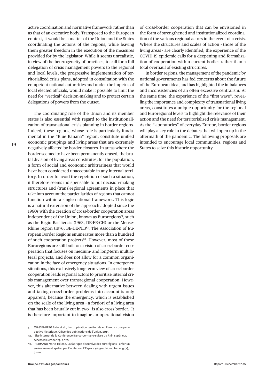active coordination and normative framework rather than as that of an executive body. Transposed to the European context, it would be a matter of the Union and the States coordinating the actions of the regions, while leaving them greater freedom in the execution of the measures provided for by the legislator. While it seems unrealistic, in view of the heterogeneity of practices, to call for a full delegation of crisis management powers to the regional and local levels, the progressive implementation of territorialized crisis plans, adopted in consultation with the competent national authorities and under the impetus of local elected officials, would make it possible to limit the need for "vertical" decision-making and to protect certain delegations of powers from the outset.

The coordinating role of the Union and its member states is also essential with regard to the institutionalization of transnational crisis planning in border regions. Indeed, these regions, whose role is particularly fundamental in the "Blue Banana" region, constitute unified economic groupings and living areas that are extremely negatively affected by border closures. In areas where the border seemed to have been permanently erased, the brutal division of living areas constitutes, for the population, a form of social and economic arbitrariness that would have been considered unacceptable in any internal territory. In order to avoid the repetition of such a situation, it therefore seems indispensable to put decision-making structures and (trans)regional agreements in place that take into account the particularities of regions that cannot function within a single national framework. This logic is a natural extension of the approach adopted since the 1960s with the creation of cross-border cooperation areas independent of the Union, known as Euroregions<sup>51</sup>, such as the Regio Basiliensis (1963, DE-FR-CH) or the Meuse-Rhine region (1976, BE-DE-NL)<sup>52</sup>. The Association of European Border Regions enumerates more than a hundred of such cooperation projects<sup>53</sup>. However, most of these Euroregions are still built on a vision of cross-border cooperation that focuses on medium- and long-term multilateral projects, and does not allow for a common organization in the face of emergency situations. In emergency situations, this exclusively long-term view of cross-border cooperation leads regional actors to prioritize internal crisis management over transregional cooperation. However, this alternative between dealing with urgent issues and taking cross-border problems into account is only apparent, because the emergency, which is established on the scale of the living area - a fortiori of a living area that has been brutally cut in two - is also cross-border. It is therefore important to imagine an operational vision

51. WASSENBERG Birte et al., La coopération territoriale en Europe - Une perspective historique, Office des publications de l'Union, 2015.

53. HERMAND Marie-Hélène, La fabrique discursive des eurorégions : créer un environnement spatial par l'incitation, L'Espace géographique, tome 45(2), 97-111.

of cross-border cooperation that can be envisioned in the form of strengthened and institutionalized coordination of the various regional actors in the event of a crisis. Where the structures and scales of action - those of the living areas - are clearly identified, the experience of the COVID-19 epidemic calls for a deepening and formalization of cooperation within current bodies rather than a total overhaul of existing structures.

In border regions, the management of the pandemic by national governments has fed concerns about the future of the European idea, and has highlighted the imbalances and inconsistencies of an often excessive centralism. At the same time, the experience of the "first wave", revealing the importance and complexity of transnational living areas, constitutes a unique opportunity for the regional and Euroregional levels to highlight the relevance of their action and the need for territorialized crisis management. As the "laboratories" of everyday Europe, border regions will play a key role in the debates that will open up in the aftermath of the pandemic. The following proposals are intended to encourage local communities, regions and States to seize this historic opportunity.

<sup>52.</sup> [Site internet de la Conférence franco-germano-suisse du Rhin supérieur](https://www.conference-rhin-sup.org/fr/la-conference-du-rhin-superieur/les-debuts.html), accessed October 29, 2020.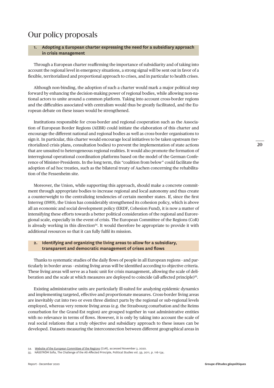## Our policy proposals

#### **1. Adopting a European charter expressing the need for a subsidiary approach in crisis management**

Through a European charter reaffirming the importance of subsidiarity and of taking into account the regional level in emergency situations, a strong signal will be sent out in favor of a flexible, territorialized and proportional approach to crises, and in particular to health crises.

Although non-binding, the adoption of such a charter would mark a major political step forward by enhancing the decision-making power of regional bodies, while allowing non-national actors to unite around a common platform. Taking into account cross-border regions and the difficulties associated with centralism would thus be greatly facilitated, and the European debate on these issues would be strengthened.

Institutions responsible for cross-border and regional cooperation such as the Association of European Border Regions (AEBR) could initiate the elaboration of this charter and encourage the different national and regional bodies as well as cross-border organisations to sign it. In particular, this charter would encourage local initiatives to be taken upstream (territorialized crisis plans, consultation bodies) to prevent the implementation of state actions that are unsuited to heterogeneous regional realities. It would also promote the formation of interregional operational coordination platforms based on the model of the German Conference of Minister-Presidents. In the long term, this "coalition from below" could facilitate the adoption of ad hoc treaties, such as the bilateral treaty of Aachen concerning the rehabilitation of the Fessenheim site.

Moreover, the Union, while supporting this approach, should make a concrete commitment through appropriate bodies to increase regional and local autonomy and thus create a counterweight to the centralizing tendencies of certain member states. If, since the first Interreg (1989), the Union has considerably strengthened its cohesion policy, which is above all an economic and social development policy (ERDF, Cohesion Fund), it is now a matter of intensifying these efforts towards a better political consideration of the regional and Euroregional scale, especially in the event of crisis. The European Committee of the Regions (CoR) is already working in this direction<sup>54</sup>. It would therefore be appropriate to provide it with additional resources so that it can fully fulfil its mission.

#### **2. Identifying and organizing the living areas to allow for a subsidiary, transparent and democratic management of crises and flows**

Thanks to systematic studies of the daily flows of people in all European regions - and particularly in border areas - existing living areas will be identified according to objective criteria. These living areas will serve as a basic unit for crisis management, allowing the scale of deliberation and the scale at which measures are deployed to coincide (all-affected principle)<sup>55</sup>.

Existing administrative units are particularly ill-suited for analyzing epidemic dynamics and implementing targeted, effective and proportionate measures. Cross-border living areas are inevitably cut into two or even three distinct parts by the regional or sub-regional levels employed, whereas very remote living areas (e.g. the Strasbourg conurbation and the Reims conurbation for the Grand-Est region) are grouped together in vast administrative entities with no relevance in terms of flows. However, it is only by taking into account the scale of real social relations that a truly objective and subsidiary approach to these issues can be developed. Datasets measuring the interconnection between different geographical areas in

<sup>54.</sup> [Website of the European Committee of the Regions](https://cor.europa.eu/fr/our-work/Pages/cor-priorities.aspx) (CoR), accessed November 3, 2020.

<sup>55.</sup> NÄSSTRÖM Sofia, The Challenge of the All-Affected Principle, Political Studies vol. 59, 2011, p. 116-134.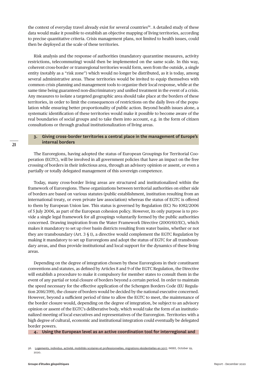the context of everyday travel already exist for several countries<sup>56</sup>. A detailed study of these data would make it possible to establish an objective mapping of living territories, according to precise quantitative criteria. Crisis management plans, not limited to health issues, could then be deployed at the scale of these territories.

Risk analysis and the response of authorities (mandatory quarantine measures, activity restrictions, telecommuting) would then be implemented on the same scale. In this way, coherent cross-border or transregional territories would form, seen from the outside, a single entity (notably as a "risk zone") which would no longer be distributed, as it is today, among several administrative areas. These territories would be invited to equip themselves with common crisis planning and management tools to organize their local response, while at the same time being guaranteed non-discriminatory and unified treatment in the event of a crisis. Any measures to isolate a targeted geographic area should take place at the borders of these territories, in order to limit the consequences of restrictions on the daily lives of the population while ensuring better proportionality of public action. Beyond health issues alone, a systematic identification of these territories would make it possible to become aware of the real boundaries of social groups and to take them into account, e.g. in the form of citizen consultations or through gradual institutionalization of living areas.

#### **3. Giving cross-border territories a central place in the management of Europe's internal borders**

The Euroregions, having adopted the status of European Groupings for Territorial Cooperation (EGTC), will be involved in all government policies that have an impact on the free crossing of borders in their infectious area, through an advisory opinion or assent, or even a partially or totally delegated management of this sovereign competence.

Today, many cross-border living areas are structured and institutionalized within the framework of Euroregions. These organizations between territorial authorities on either side of borders are based on various statutes (public establishment, institution resulting from an international treaty, or even private law association) whereas the status of EGTC is offered to them by European Union law. This status is governed by Regulation (EC) No 1082/2006 of 5 July 2006, as part of the European cohesion policy. However, its only purpose is to provide a single legal framework for all groupings voluntarily formed by the public authorities concerned. Drawing inspiration from the Water Framework Directive (2000/60/EC), which makes it mandatory to set up river basin districts resulting from water basins, whether or not they are transboundary (Art. 3 § 1), a directive would complement the EGTC Regulation by making it mandatory to set up Euroregions and adopt the status of EGTC for all transboundary areas, and thus provide institutional and local support for the dynamics of these living areas.

Depending on the degree of integration chosen by these Euroregions in their constituent conventions and statutes, as defined by Articles 8 and 9 of the EGTC Regulation, the Directive will establish a procedure to make it compulsory for member states to consult them in the event of any partial or total closure of borders beyond a certain period. In order to maintain the speed necessary for the effective application of the Schengen Borders Code (EU Regulation 2016/399), the closure of borders would be decided by the national executive concerned. However, beyond a sufficient period of time to allow the EGTC to meet, the maintenance of the border closure would, depending on the degree of integration, be subject to an advisory opinion or assent of the EGTC's deliberative body, which would take the form of an institutionalized meeting of local executives and representatives of the Euroregion. Territories with a high degree of cultural, economic and institutional integration could eventually be delegated border powers.

**4. Using the European level as an active coordination tool for interregional and** 

<sup>56.</sup> [Logements, individus, activité, mobilités scolaires et professionnelles, migrations résidentielles en 2017,](https://www.insee.fr/fr/statistiques/4507890?sommaire=4508161) INSEE, October 29, 2020.